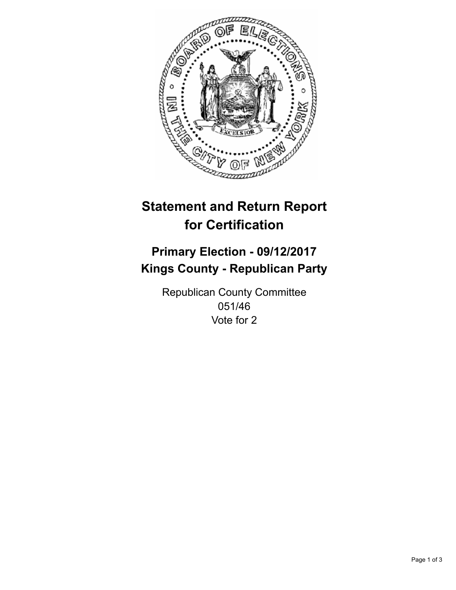

## **Statement and Return Report for Certification**

## **Primary Election - 09/12/2017 Kings County - Republican Party**

Republican County Committee 051/46 Vote for 2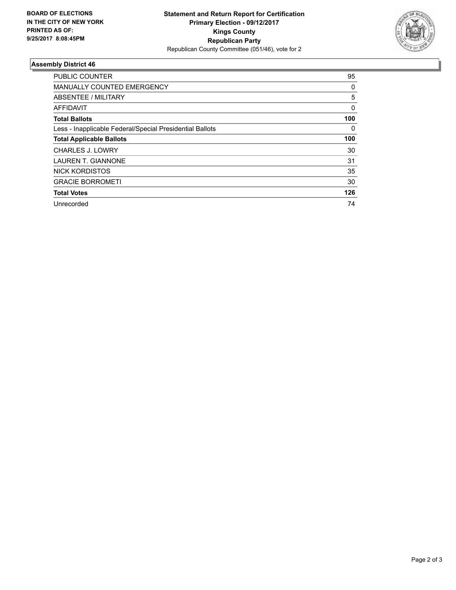

## **Assembly District 46**

| <b>PUBLIC COUNTER</b>                                    | 95       |
|----------------------------------------------------------|----------|
| <b>MANUALLY COUNTED EMERGENCY</b>                        | 0        |
| ABSENTEE / MILITARY                                      | 5        |
| AFFIDAVIT                                                | $\Omega$ |
| <b>Total Ballots</b>                                     | 100      |
| Less - Inapplicable Federal/Special Presidential Ballots | 0        |
| <b>Total Applicable Ballots</b>                          | 100      |
| <b>CHARLES J. LOWRY</b>                                  | 30       |
| <b>LAUREN T. GIANNONE</b>                                | 31       |
| <b>NICK KORDISTOS</b>                                    | 35       |
| <b>GRACIE BORROMETI</b>                                  | 30       |
| <b>Total Votes</b>                                       | 126      |
| Unrecorded                                               | 74       |